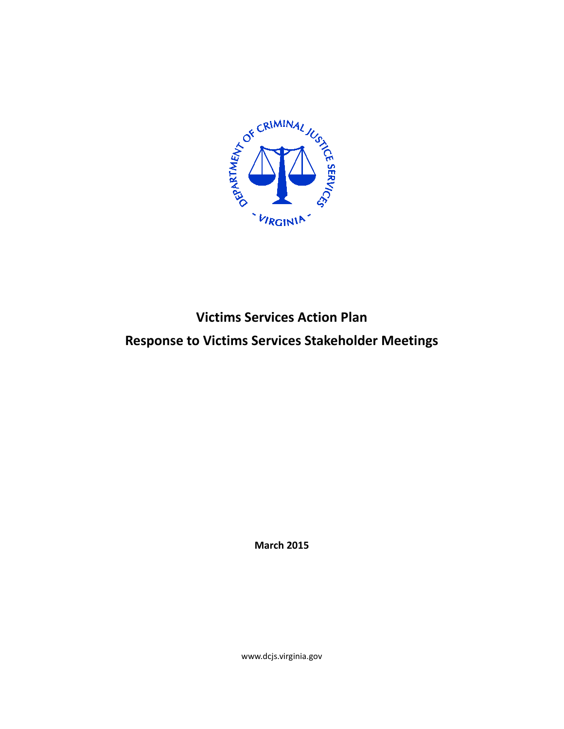

# **Victims Services Action Plan Response to Victims Services Stakeholder Meetings**

**March 2015**

www.dcjs.virginia.gov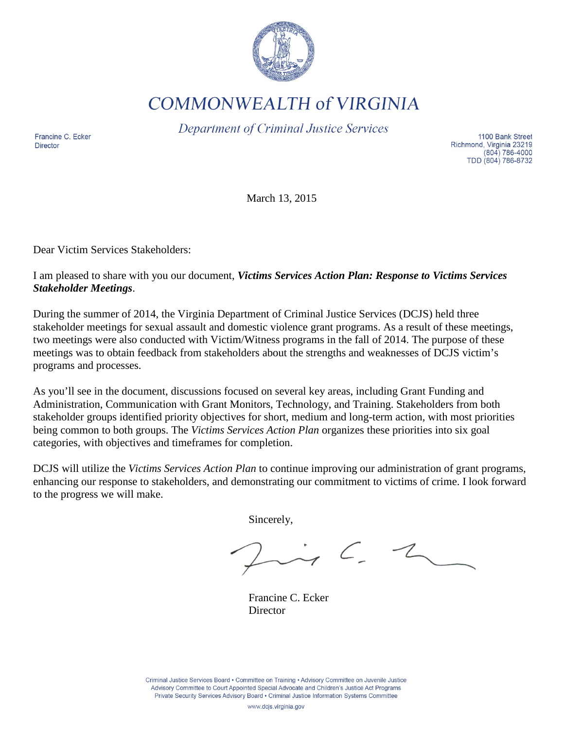

**COMMONWEALTH of VIRGINIA** 

Department of Criminal Justice Services

Francine C. Ecker **Director** 

1100 Bank Street Richmond, Virginia 23219  $(804) 786-4000$ TDD (804) 786-8732

March 13, 2015

Dear Victim Services Stakeholders:

I am pleased to share with you our document, *Victims Services Action Plan: Response to Victims Services Stakeholder Meetings*.

During the summer of 2014, the Virginia Department of Criminal Justice Services (DCJS) held three stakeholder meetings for sexual assault and domestic violence grant programs. As a result of these meetings, two meetings were also conducted with Victim/Witness programs in the fall of 2014. The purpose of these meetings was to obtain feedback from stakeholders about the strengths and weaknesses of DCJS victim's programs and processes.

As you'll see in the document, discussions focused on several key areas, including Grant Funding and Administration, Communication with Grant Monitors, Technology, and Training. Stakeholders from both stakeholder groups identified priority objectives for short, medium and long-term action, with most priorities being common to both groups. The *Victims Services Action Plan* organizes these priorities into six goal categories, with objectives and timeframes for completion.

DCJS will utilize the *Victims Services Action Plan* to continue improving our administration of grant programs, enhancing our response to stakeholders, and demonstrating our commitment to victims of crime. I look forward to the progress we will make.

Sincerely,

 $\rightarrow$   $\sim$  2

Francine C. Ecker **Director** 

Criminal Justice Services Board • Committee on Training • Advisory Committee on Juvenile Justice Advisory Committee to Court Appointed Special Advocate and Children's Justice Act Programs Private Security Services Advisory Board . Criminal Justice Information Systems Committee

www.dcjs.virginia.gov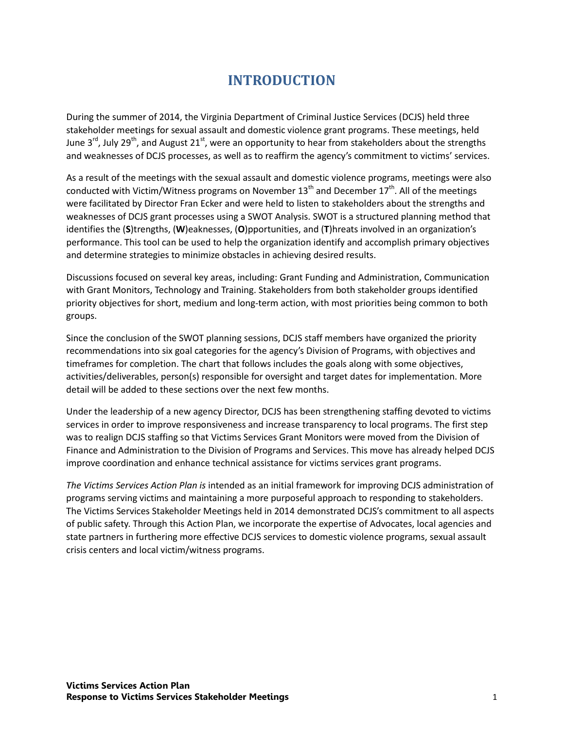# **INTRODUCTION**

During the summer of 2014, the Virginia Department of Criminal Justice Services (DCJS) held three stakeholder meetings for sexual assault and domestic violence grant programs. These meetings, held June 3<sup>rd</sup>, July 29<sup>th</sup>, and August 21<sup>st</sup>, were an opportunity to hear from stakeholders about the strengths and weaknesses of DCJS processes, as well as to reaffirm the agency's commitment to victims' services.

As a result of the meetings with the sexual assault and domestic violence programs, meetings were also conducted with Victim/Witness programs on November  $13<sup>th</sup>$  and December  $17<sup>th</sup>$ . All of the meetings were facilitated by Director Fran Ecker and were held to listen to stakeholders about the strengths and weaknesses of DCJS grant processes using a SWOT Analysis. SWOT is a structured planning method that identifies the (**S**)trengths, (**W**)eaknesses, (**O**)pportunities, and (**T**)hreats involved in an organization's performance. This tool can be used to help the organization identify and accomplish primary objectives and determine strategies to minimize obstacles in achieving desired results.

Discussions focused on several key areas, including: Grant Funding and Administration, Communication with Grant Monitors, Technology and Training. Stakeholders from both stakeholder groups identified priority objectives for short, medium and long-term action, with most priorities being common to both groups.

Since the conclusion of the SWOT planning sessions, DCJS staff members have organized the priority recommendations into six goal categories for the agency's Division of Programs, with objectives and timeframes for completion. The chart that follows includes the goals along with some objectives, activities/deliverables, person(s) responsible for oversight and target dates for implementation. More detail will be added to these sections over the next few months.

Under the leadership of a new agency Director, DCJS has been strengthening staffing devoted to victims services in order to improve responsiveness and increase transparency to local programs. The first step was to realign DCJS staffing so that Victims Services Grant Monitors were moved from the Division of Finance and Administration to the Division of Programs and Services. This move has already helped DCJS improve coordination and enhance technical assistance for victims services grant programs.

*The Victims Services Action Plan is* intended as an initial framework for improving DCJS administration of programs serving victims and maintaining a more purposeful approach to responding to stakeholders. The Victims Services Stakeholder Meetings held in 2014 demonstrated DCJS's commitment to all aspects of public safety. Through this Action Plan, we incorporate the expertise of Advocates, local agencies and state partners in furthering more effective DCJS services to domestic violence programs, sexual assault crisis centers and local victim/witness programs.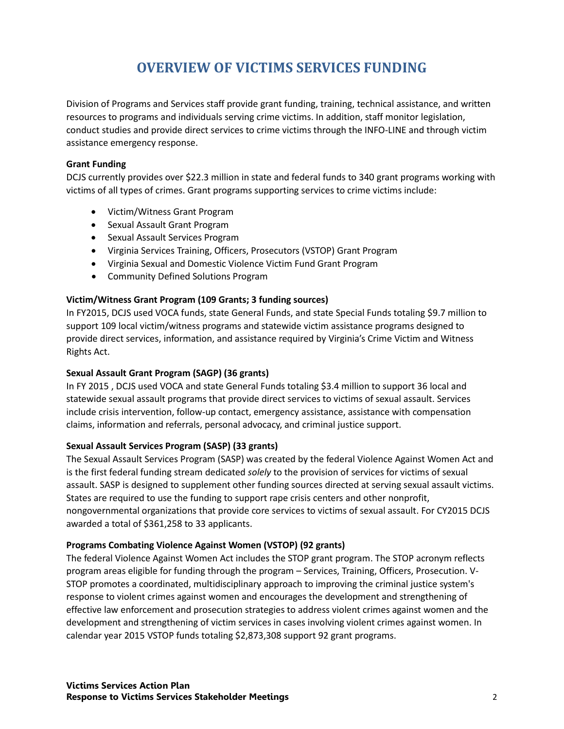# **OVERVIEW OF VICTIMS SERVICES FUNDING**

Division of Programs and Services staff provide grant funding, training, technical assistance, and written resources to programs and individuals serving crime victims. In addition, staff monitor legislation, conduct studies and provide direct services to crime victims through the INFO-LINE and through victim assistance emergency response.

#### **Grant Funding**

DCJS currently provides over \$22.3 million in state and federal funds to 340 grant programs working with victims of all types of crimes. Grant programs supporting services to crime victims include:

- Victim/Witness Grant Program
- Sexual Assault Grant Program
- Sexual Assault Services Program
- Virginia Services Training, Officers, Prosecutors (VSTOP) Grant Program
- Virginia Sexual and Domestic Violence Victim Fund Grant Program
- Community Defined Solutions Program

### **Victim/Witness Grant Program (109 Grants; 3 funding sources)**

In FY2015, DCJS used VOCA funds, state General Funds, and state Special Funds totaling \$9.7 million to support 109 local victim/witness programs and statewide victim assistance programs designed to provide direct services, information, and assistance required by Virginia's Crime Victim and Witness Rights Act.

### **Sexual Assault Grant Program (SAGP) (36 grants)**

In FY 2015 , DCJS used VOCA and state General Funds totaling \$3.4 million to support 36 local and statewide sexual assault programs that provide direct services to victims of sexual assault. Services include crisis intervention, follow-up contact, emergency assistance, assistance with compensation claims, information and referrals, personal advocacy, and criminal justice support.

### **Sexual Assault Services Program (SASP) (33 grants)**

The Sexual Assault Services Program (SASP) was created by the federal Violence Against Women Act and is the first federal funding stream dedicated *solely* to the provision of services for victims of sexual assault. SASP is designed to supplement other funding sources directed at serving sexual assault victims. States are required to use the funding to support rape crisis centers and other nonprofit, nongovernmental organizations that provide core services to victims of sexual assault. For CY2015 DCJS awarded a total of \$361,258 to 33 applicants.

### **Programs Combating Violence Against Women (VSTOP) (92 grants)**

The federal Violence Against Women Act includes the STOP grant program. The STOP acronym reflects program areas eligible for funding through the program – Services, Training, Officers, Prosecution. V-STOP promotes a coordinated, multidisciplinary approach to improving the criminal justice system's response to violent crimes against women and encourages the development and strengthening of effective law enforcement and prosecution strategies to address violent crimes against women and the development and strengthening of victim services in cases involving violent crimes against women. In calendar year 2015 VSTOP funds totaling \$2,873,308 support 92 grant programs.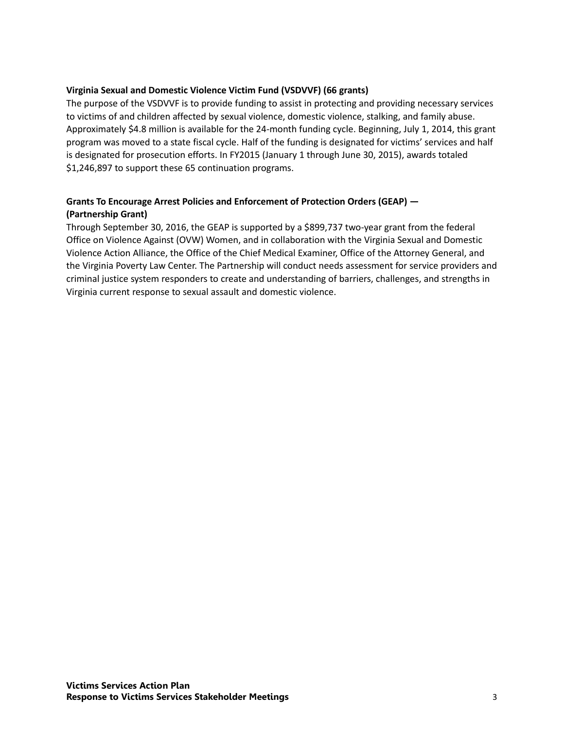#### **Virginia Sexual and Domestic Violence Victim Fund (VSDVVF) (66 grants)**

The purpose of the VSDVVF is to provide funding to assist in protecting and providing necessary services to victims of and children affected by sexual violence, domestic violence, stalking, and family abuse. Approximately \$4.8 million is available for the 24-month funding cycle. Beginning, July 1, 2014, this grant program was moved to a state fiscal cycle. Half of the funding is designated for victims' services and half is designated for prosecution efforts. In FY2015 (January 1 through June 30, 2015), awards totaled \$1,246,897 to support these 65 continuation programs.

### **Grants To Encourage Arrest Policies and Enforcement of Protection Orders (GEAP) — (Partnership Grant)**

Through September 30, 2016, the GEAP is supported by a \$899,737 two-year grant from the federal Office on Violence Against (OVW) Women, and in collaboration with the Virginia Sexual and Domestic Violence Action Alliance, the Office of the Chief Medical Examiner, Office of the Attorney General, and the Virginia Poverty Law Center. The Partnership will conduct needs assessment for service providers and criminal justice system responders to create and understanding of barriers, challenges, and strengths in Virginia current response to sexual assault and domestic violence.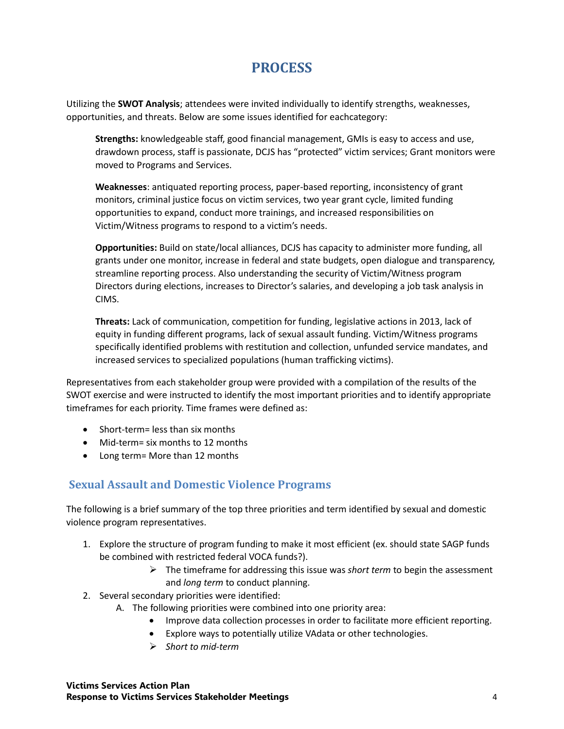# **PROCESS**

Utilizing the **SWOT Analysis**; attendees were invited individually to identify strengths, weaknesses, opportunities, and threats. Below are some issues identified for eachcategory:

**Strengths:** knowledgeable staff, good financial management, GMIs is easy to access and use, drawdown process, staff is passionate, DCJS has "protected" victim services; Grant monitors were moved to Programs and Services.

**Weaknesses**: antiquated reporting process, paper-based reporting, inconsistency of grant monitors, criminal justice focus on victim services, two year grant cycle, limited funding opportunities to expand, conduct more trainings, and increased responsibilities on Victim/Witness programs to respond to a victim's needs.

**Opportunities:** Build on state/local alliances, DCJS has capacity to administer more funding, all grants under one monitor, increase in federal and state budgets, open dialogue and transparency, streamline reporting process. Also understanding the security of Victim/Witness program Directors during elections, increases to Director's salaries, and developing a job task analysis in CIMS.

**Threats:** Lack of communication, competition for funding, legislative actions in 2013, lack of equity in funding different programs, lack of sexual assault funding. Victim/Witness programs specifically identified problems with restitution and collection, unfunded service mandates, and increased services to specialized populations (human trafficking victims).

Representatives from each stakeholder group were provided with a compilation of the results of the SWOT exercise and were instructed to identify the most important priorities and to identify appropriate timeframes for each priority. Time frames were defined as:

- Short-term= less than six months
- Mid-term= six months to 12 months
- Long term= More than 12 months

# **Sexual Assault and Domestic Violence Programs**

The following is a brief summary of the top three priorities and term identified by sexual and domestic violence program representatives.

- 1. Explore the structure of program funding to make it most efficient (ex. should state SAGP funds be combined with restricted federal VOCA funds?).
	- The timeframe for addressing this issue was *short term* to begin the assessment and *long term* to conduct planning.
- 2. Several secondary priorities were identified:
	- A. The following priorities were combined into one priority area:
		- Improve data collection processes in order to facilitate more efficient reporting.
		- Explore ways to potentially utilize VAdata or other technologies.
		- *Short to mid-term*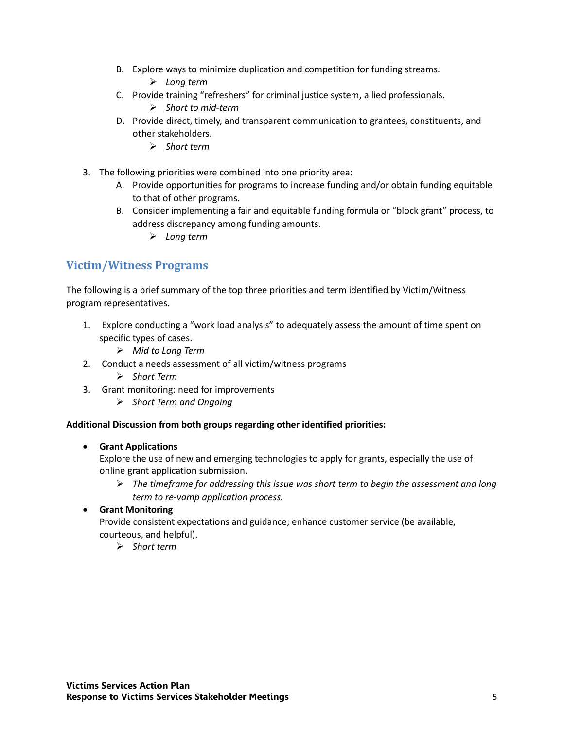- B. Explore ways to minimize duplication and competition for funding streams.
	- *Long term*
- C. Provide training "refreshers" for criminal justice system, allied professionals.
	- *Short to mid-term*
- D. Provide direct, timely, and transparent communication to grantees, constituents, and other stakeholders.
	- *Short term*
- 3. The following priorities were combined into one priority area:
	- A. Provide opportunities for programs to increase funding and/or obtain funding equitable to that of other programs.
	- B. Consider implementing a fair and equitable funding formula or "block grant" process, to address discrepancy among funding amounts.
		- *Long term*

## **Victim/Witness Programs**

The following is a brief summary of the top three priorities and term identified by Victim/Witness program representatives.

- 1. Explore conducting a "work load analysis" to adequately assess the amount of time spent on specific types of cases.
	- *Mid to Long Term*
- 2. Conduct a needs assessment of all victim/witness programs
	- *Short Term*
- 3. Grant monitoring: need for improvements
	- *Short Term and Ongoing*

#### **Additional Discussion from both groups regarding other identified priorities:**

#### • **Grant Applications**

Explore the use of new and emerging technologies to apply for grants, especially the use of online grant application submission.

- *The timeframe for addressing this issue was short term to begin the assessment and long term to re-vamp application process.*
- **Grant Monitoring**

Provide consistent expectations and guidance; enhance customer service (be available, courteous, and helpful).

*Short term*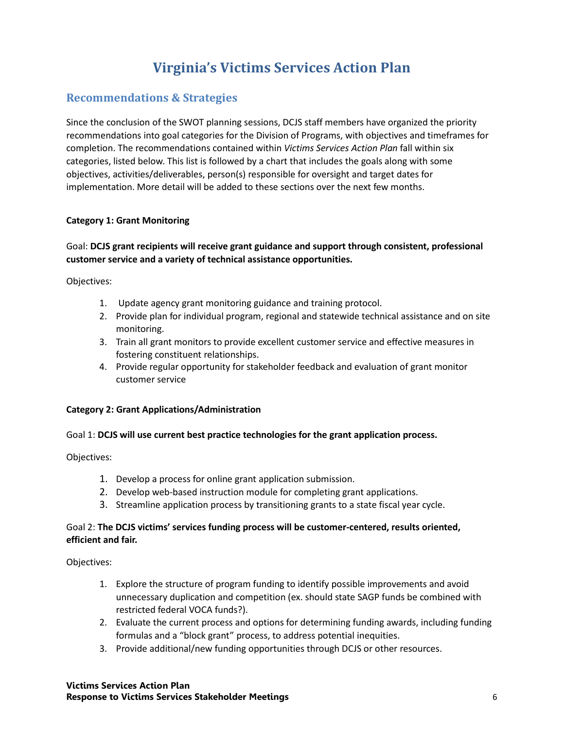# **Virginia's Victims Services Action Plan**

# **Recommendations & Strategies**

Since the conclusion of the SWOT planning sessions, DCJS staff members have organized the priority recommendations into goal categories for the Division of Programs, with objectives and timeframes for completion. The recommendations contained within *Victims Services Action Plan* fall within six categories, listed below. This list is followed by a chart that includes the goals along with some objectives, activities/deliverables, person(s) responsible for oversight and target dates for implementation. More detail will be added to these sections over the next few months.

### **Category 1: Grant Monitoring**

## Goal: **DCJS grant recipients will receive grant guidance and support through consistent, professional customer service and a variety of technical assistance opportunities.**

Objectives:

- 1. Update agency grant monitoring guidance and training protocol.
- 2. Provide plan for individual program, regional and statewide technical assistance and on site monitoring.
- 3. Train all grant monitors to provide excellent customer service and effective measures in fostering constituent relationships.
- 4. Provide regular opportunity for stakeholder feedback and evaluation of grant monitor customer service

### **Category 2: Grant Applications/Administration**

### Goal 1: **DCJS will use current best practice technologies for the grant application process.**

Objectives:

- 1. Develop a process for online grant application submission.
- 2. Develop web-based instruction module for completing grant applications.
- 3. Streamline application process by transitioning grants to a state fiscal year cycle.

#### Goal 2: **The DCJS victims' services funding process will be customer-centered, results oriented, efficient and fair.**

Objectives:

- 1. Explore the structure of program funding to identify possible improvements and avoid unnecessary duplication and competition (ex. should state SAGP funds be combined with restricted federal VOCA funds?).
- 2. Evaluate the current process and options for determining funding awards, including funding formulas and a "block grant" process, to address potential inequities.
- 3. Provide additional/new funding opportunities through DCJS or other resources.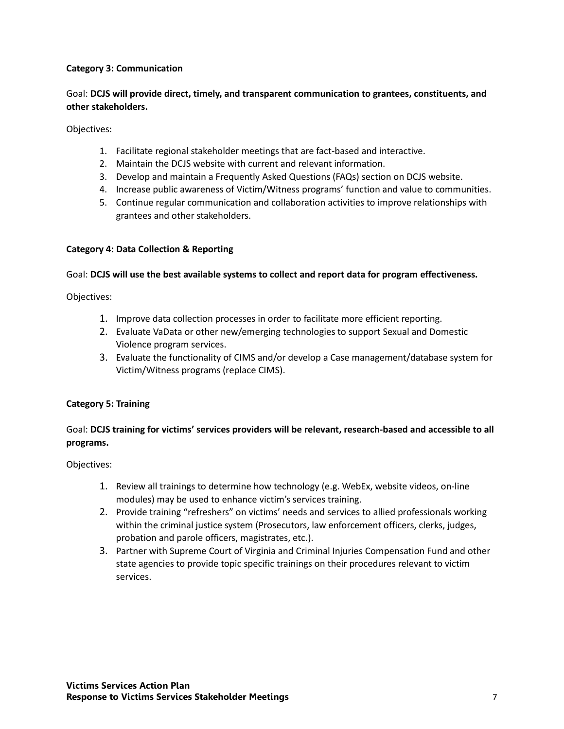### **Category 3: Communication**

### Goal: **DCJS will provide direct, timely, and transparent communication to grantees, constituents, and other stakeholders.**

Objectives:

- 1. Facilitate regional stakeholder meetings that are fact-based and interactive.
- 2. Maintain the DCJS website with current and relevant information.
- 3. Develop and maintain a Frequently Asked Questions (FAQs) section on DCJS website.
- 4. Increase public awareness of Victim/Witness programs' function and value to communities.
- 5. Continue regular communication and collaboration activities to improve relationships with grantees and other stakeholders.

#### **Category 4: Data Collection & Reporting**

#### Goal: **DCJS will use the best available systems to collect and report data for program effectiveness.**

Objectives:

- 1. Improve data collection processes in order to facilitate more efficient reporting.
- 2. Evaluate VaData or other new/emerging technologies to support Sexual and Domestic Violence program services.
- 3. Evaluate the functionality of CIMS and/or develop a Case management/database system for Victim/Witness programs (replace CIMS).

#### **Category 5: Training**

### Goal: **DCJS training for victims' services providers will be relevant, research-based and accessible to all programs.**

Objectives:

- 1. Review all trainings to determine how technology (e.g. WebEx, website videos, on-line modules) may be used to enhance victim's services training.
- 2. Provide training "refreshers" on victims' needs and services to allied professionals working within the criminal justice system (Prosecutors, law enforcement officers, clerks, judges, probation and parole officers, magistrates, etc.).
- 3. Partner with Supreme Court of Virginia and Criminal Injuries Compensation Fund and other state agencies to provide topic specific trainings on their procedures relevant to victim services.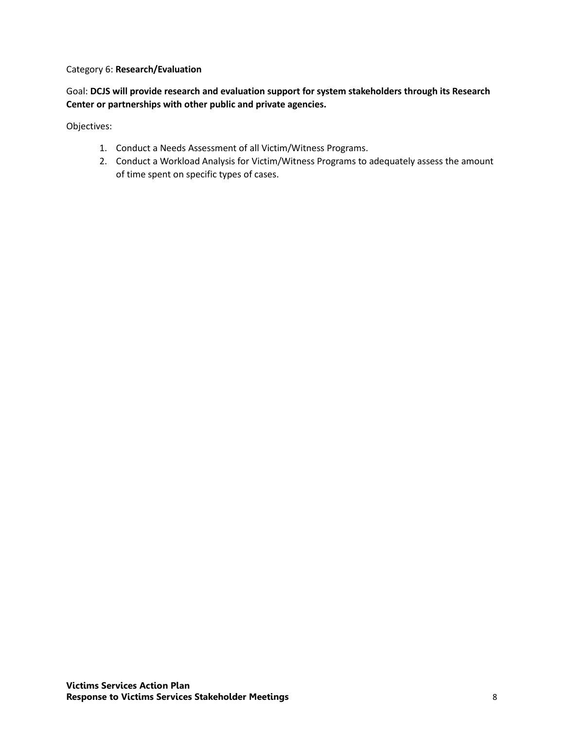#### Category 6: **Research/Evaluation**

Goal: **DCJS will provide research and evaluation support for system stakeholders through its Research Center or partnerships with other public and private agencies.**

Objectives:

- 1. Conduct a Needs Assessment of all Victim/Witness Programs.
- 2. Conduct a Workload Analysis for Victim/Witness Programs to adequately assess the amount of time spent on specific types of cases.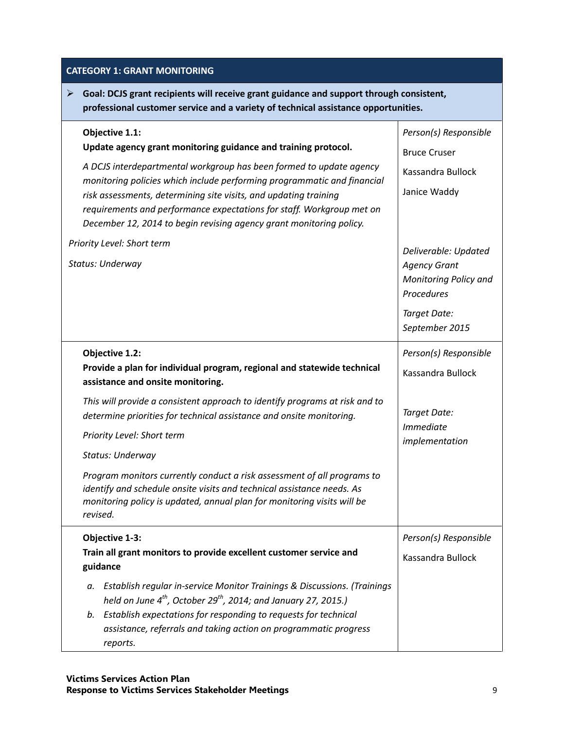## **CATEGORY 1: GRANT MONITORING**

 **Goal: DCJS grant recipients will receive grant guidance and support through consistent, professional customer service and a variety of technical assistance opportunities.**

| Objective 1.1:<br>Update agency grant monitoring guidance and training protocol.<br>A DCJS interdepartmental workgroup has been formed to update agency<br>monitoring policies which include performing programmatic and financial<br>risk assessments, determining site visits, and updating training<br>requirements and performance expectations for staff. Workgroup met on<br>December 12, 2014 to begin revising agency grant monitoring policy.<br>Priority Level: Short term<br>Status: Underway                                                                            | Person(s) Responsible<br><b>Bruce Cruser</b><br>Kassandra Bullock<br>Janice Waddy<br>Deliverable: Updated<br><b>Agency Grant</b><br>Monitoring Policy and<br>Procedures<br>Target Date:<br>September 2015 |
|-------------------------------------------------------------------------------------------------------------------------------------------------------------------------------------------------------------------------------------------------------------------------------------------------------------------------------------------------------------------------------------------------------------------------------------------------------------------------------------------------------------------------------------------------------------------------------------|-----------------------------------------------------------------------------------------------------------------------------------------------------------------------------------------------------------|
| Objective 1.2:<br>Provide a plan for individual program, regional and statewide technical<br>assistance and onsite monitoring.<br>This will provide a consistent approach to identify programs at risk and to<br>determine priorities for technical assistance and onsite monitoring.<br>Priority Level: Short term<br>Status: Underway<br>Program monitors currently conduct a risk assessment of all programs to<br>identify and schedule onsite visits and technical assistance needs. As<br>monitoring policy is updated, annual plan for monitoring visits will be<br>revised. | Person(s) Responsible<br>Kassandra Bullock<br>Target Date:<br><b>Immediate</b><br>implementation                                                                                                          |
| Objective 1-3:<br>Train all grant monitors to provide excellent customer service and<br>guidance<br>Establish regular in-service Monitor Trainings & Discussions. (Trainings<br>а.<br>held on June $4^{th}$ , October 29 <sup>th</sup> , 2014; and January 27, 2015.)<br>Establish expectations for responding to requests for technical<br>b.<br>assistance, referrals and taking action on programmatic progress<br>reports.                                                                                                                                                      | Person(s) Responsible<br>Kassandra Bullock                                                                                                                                                                |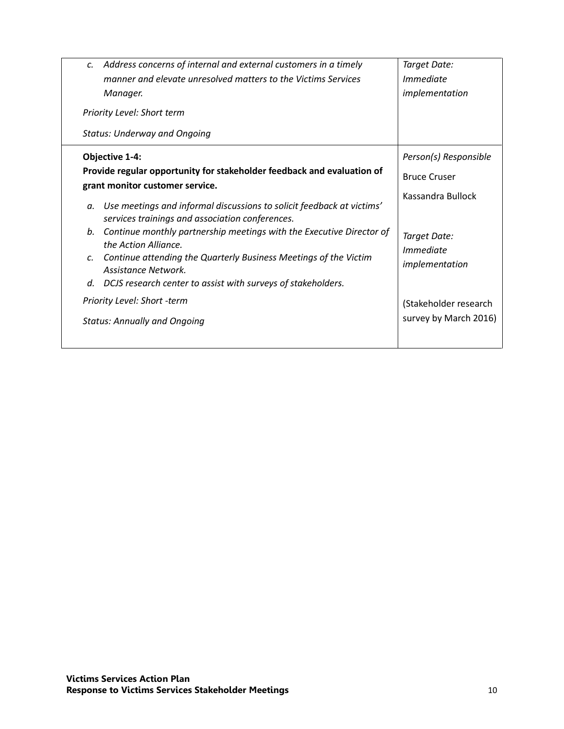| Address concerns of internal and external customers in a timely<br>$\mathcal{C}$ .                                             | Target Date:                |
|--------------------------------------------------------------------------------------------------------------------------------|-----------------------------|
| manner and elevate unresolved matters to the Victims Services                                                                  | <i>Immediate</i>            |
| Manager.                                                                                                                       | implementation              |
| Priority Level: Short term                                                                                                     |                             |
| <b>Status: Underway and Ongoing</b>                                                                                            |                             |
| Objective 1-4:                                                                                                                 | Person(s) Responsible       |
| Provide regular opportunity for stakeholder feedback and evaluation of<br>grant monitor customer service.                      | <b>Bruce Cruser</b>         |
| Use meetings and informal discussions to solicit feedback at victims'<br>а.<br>services trainings and association conferences. | Kassandra Bullock           |
| Continue monthly partnership meetings with the Executive Director of<br>b.<br>the Action Alliance.                             | Target Date:                |
| Continue attending the Quarterly Business Meetings of the Victim<br>C.<br>Assistance Network.                                  | Immediate<br>implementation |
| DCJS research center to assist with surveys of stakeholders.<br>d.                                                             |                             |
| Priority Level: Short -term                                                                                                    | (Stakeholder research       |
| <b>Status: Annually and Ongoing</b>                                                                                            | survey by March 2016)       |
|                                                                                                                                |                             |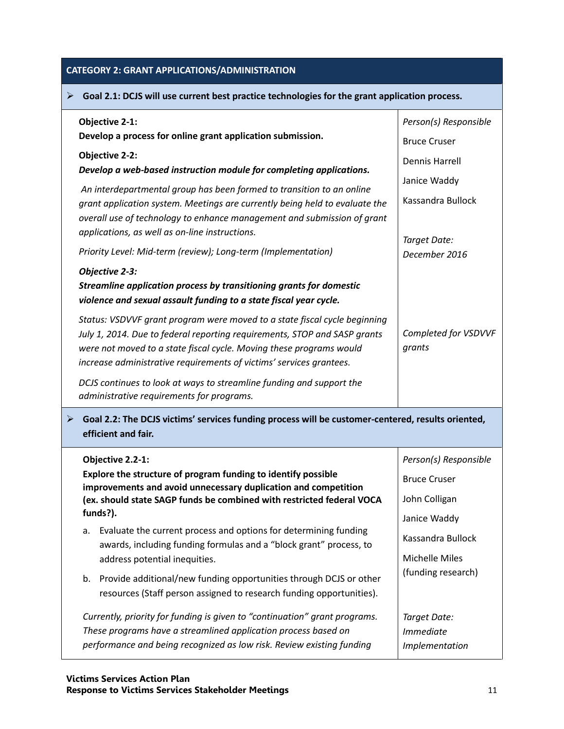# **CATEGORY 2: GRANT APPLICATIONS/ADMINISTRATION**

| Goal 2.1: DCJS will use current best practice technologies for the grant application process.<br>➤                                                                                                                                                                                                   |                                                   |  |
|------------------------------------------------------------------------------------------------------------------------------------------------------------------------------------------------------------------------------------------------------------------------------------------------------|---------------------------------------------------|--|
| <b>Objective 2-1:</b><br>Develop a process for online grant application submission.                                                                                                                                                                                                                  | Person(s) Responsible<br><b>Bruce Cruser</b>      |  |
| <b>Objective 2-2:</b><br>Develop a web-based instruction module for completing applications.                                                                                                                                                                                                         | <b>Dennis Harrell</b>                             |  |
| An interdepartmental group has been formed to transition to an online<br>grant application system. Meetings are currently being held to evaluate the<br>overall use of technology to enhance management and submission of grant<br>applications, as well as on-line instructions.                    | Janice Waddy<br>Kassandra Bullock<br>Target Date: |  |
| Priority Level: Mid-term (review); Long-term (Implementation)                                                                                                                                                                                                                                        | December 2016                                     |  |
| Objective 2-3:<br>Streamline application process by transitioning grants for domestic<br>violence and sexual assault funding to a state fiscal year cycle.                                                                                                                                           |                                                   |  |
| Status: VSDVVF grant program were moved to a state fiscal cycle beginning<br>July 1, 2014. Due to federal reporting requirements, STOP and SASP grants<br>were not moved to a state fiscal cycle. Moving these programs would<br>increase administrative requirements of victims' services grantees. | Completed for VSDVVF<br>grants                    |  |
| DCJS continues to look at ways to streamline funding and support the<br>administrative requirements for programs.                                                                                                                                                                                    |                                                   |  |
| Goal 2.2: The DCJS victims' services funding process will be customer-centered, results oriented,<br>➤<br>efficient and fair.                                                                                                                                                                        |                                                   |  |
| Objective 2.2-1:                                                                                                                                                                                                                                                                                     | Person(s) Responsible                             |  |
| Explore the structure of program funding to identify possible<br>improvements and avoid unnecessary duplication and competition                                                                                                                                                                      | <b>Bruce Cruser</b>                               |  |
| (ex. should state SAGP funds be combined with restricted federal VOCA                                                                                                                                                                                                                                | John Colligan                                     |  |
| funds?).<br>Evaluate the current process and options for determining funding<br>a.                                                                                                                                                                                                                   | Janice Waddy                                      |  |
| awards, including funding formulas and a "block grant" process, to                                                                                                                                                                                                                                   | Kassandra Bullock                                 |  |
| address potential inequities.                                                                                                                                                                                                                                                                        | Michelle Miles                                    |  |
| b. Provide additional/new funding opportunities through DCJS or other<br>resources (Staff person assigned to research funding opportunities).                                                                                                                                                        | (funding research)                                |  |
| Currently, priority for funding is given to "continuation" grant programs.                                                                                                                                                                                                                           | Target Date:                                      |  |
| These programs have a streamlined application process based on<br>performance and being recognized as low risk. Review existing funding                                                                                                                                                              | <i>Immediate</i>                                  |  |
|                                                                                                                                                                                                                                                                                                      | Implementation                                    |  |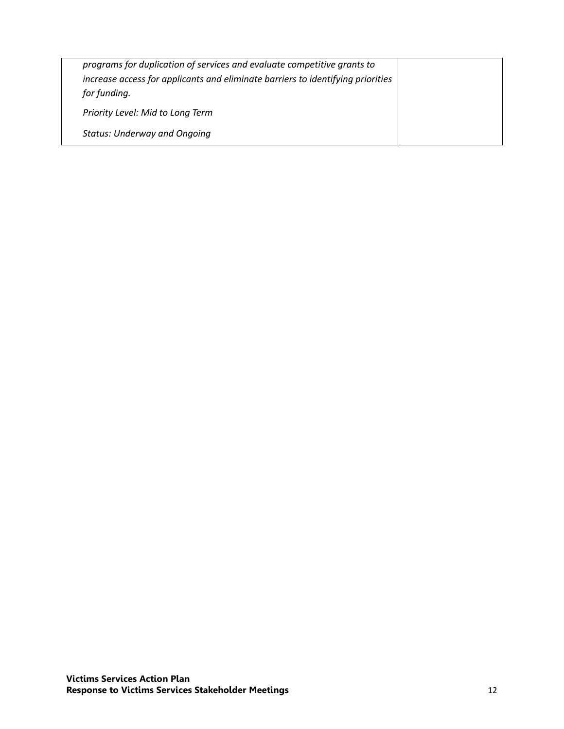| programs for duplication of services and evaluate competitive grants to<br>increase access for applicants and eliminate barriers to identifying priorities<br>for funding. |  |
|----------------------------------------------------------------------------------------------------------------------------------------------------------------------------|--|
| Priority Level: Mid to Long Term                                                                                                                                           |  |
| <b>Status: Underway and Ongoing</b>                                                                                                                                        |  |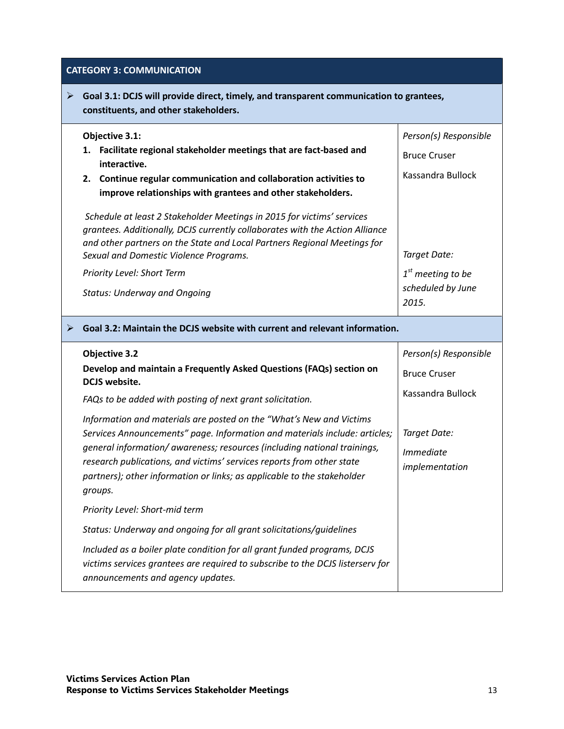### **CATEGORY 3: COMMUNICATION**

 **Goal 3.1: DCJS will provide direct, timely, and transparent communication to grantees, constituents, and other stakeholders.**

| Objective 3.1:                                                                                                                                                                                                                                                               | Person(s) Responsible                             |
|------------------------------------------------------------------------------------------------------------------------------------------------------------------------------------------------------------------------------------------------------------------------------|---------------------------------------------------|
| Facilitate regional stakeholder meetings that are fact-based and<br>interactive.                                                                                                                                                                                             | <b>Bruce Cruser</b>                               |
| 2. Continue regular communication and collaboration activities to<br>improve relationships with grantees and other stakeholders.                                                                                                                                             | Kassandra Bullock                                 |
| Schedule at least 2 Stakeholder Meetings in 2015 for victims' services<br>grantees. Additionally, DCJS currently collaborates with the Action Alliance<br>and other partners on the State and Local Partners Regional Meetings for<br>Sexual and Domestic Violence Programs. | Target Date:                                      |
| Priority Level: Short Term<br><b>Status: Underway and Ongoing</b>                                                                                                                                                                                                            | $1st$ meeting to be<br>scheduled by June<br>2015. |
|                                                                                                                                                                                                                                                                              |                                                   |

#### **Goal 3.2: Maintain the DCJS website with current and relevant information.**

| <b>Objective 3.2</b>                                                                                                                                                                                                                                                                                                                                                                         | Person(s) Responsible                       |
|----------------------------------------------------------------------------------------------------------------------------------------------------------------------------------------------------------------------------------------------------------------------------------------------------------------------------------------------------------------------------------------------|---------------------------------------------|
| Develop and maintain a Frequently Asked Questions (FAQs) section on<br>DCJS website.                                                                                                                                                                                                                                                                                                         | <b>Bruce Cruser</b>                         |
| FAQs to be added with posting of next grant solicitation.                                                                                                                                                                                                                                                                                                                                    | Kassandra Bullock                           |
| Information and materials are posted on the "What's New and Victims<br>Services Announcements" page. Information and materials include: articles;<br>general information/ awareness; resources (including national trainings,<br>research publications, and victims' services reports from other state<br>partners); other information or links; as applicable to the stakeholder<br>groups. | Target Date:<br>Immediate<br>implementation |
| Priority Level: Short-mid term                                                                                                                                                                                                                                                                                                                                                               |                                             |
| Status: Underway and ongoing for all grant solicitations/guidelines                                                                                                                                                                                                                                                                                                                          |                                             |
| Included as a boiler plate condition for all grant funded programs, DCJS<br>victims services grantees are required to subscribe to the DCJS listerserv for<br>announcements and agency updates.                                                                                                                                                                                              |                                             |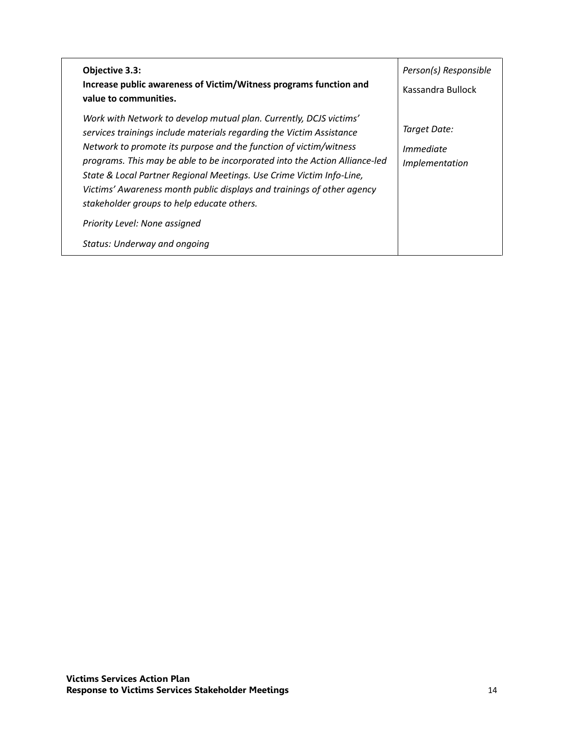| Objective 3.3:<br>Increase public awareness of Victim/Witness programs function and<br>value to communities.                                                                                                                                                                                                                                                                                                                                                                                  | Person(s) Responsible<br>Kassandra Bullock  |
|-----------------------------------------------------------------------------------------------------------------------------------------------------------------------------------------------------------------------------------------------------------------------------------------------------------------------------------------------------------------------------------------------------------------------------------------------------------------------------------------------|---------------------------------------------|
| Work with Network to develop mutual plan. Currently, DCJS victims'<br>services trainings include materials regarding the Victim Assistance<br>Network to promote its purpose and the function of victim/witness<br>programs. This may be able to be incorporated into the Action Alliance-led<br>State & Local Partner Regional Meetings. Use Crime Victim Info-Line,<br>Victims' Awareness month public displays and trainings of other agency<br>stakeholder groups to help educate others. | Target Date:<br>Immediate<br>Implementation |
| Priority Level: None assigned<br>Status: Underway and ongoing                                                                                                                                                                                                                                                                                                                                                                                                                                 |                                             |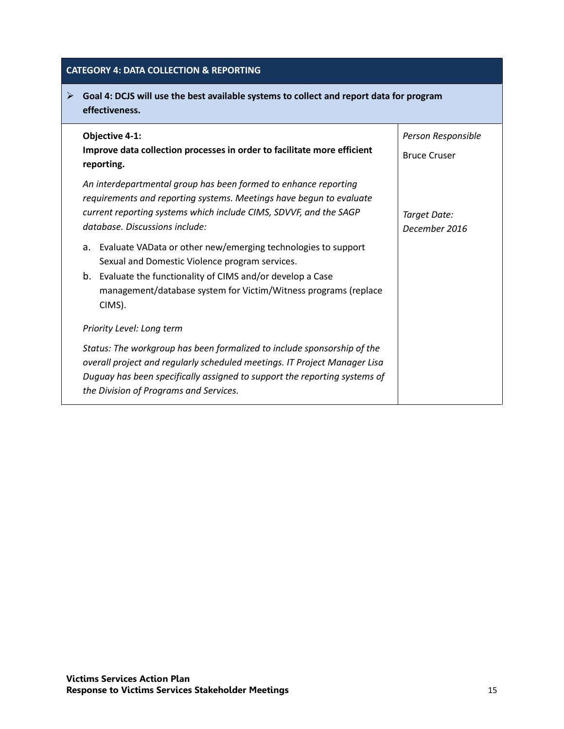## **CATEGORY 4: DATA COLLECTION & REPORTING**

## **Goal 4: DCJS will use the best available systems to collect and report data for program effectiveness.**

| <b>Objective 4-1:</b><br>Improve data collection processes in order to facilitate more efficient<br>reporting.                                                                                                                                                              | Person Responsible<br><b>Bruce Cruser</b> |
|-----------------------------------------------------------------------------------------------------------------------------------------------------------------------------------------------------------------------------------------------------------------------------|-------------------------------------------|
| An interdepartmental group has been formed to enhance reporting<br>requirements and reporting systems. Meetings have begun to evaluate<br>current reporting systems which include CIMS, SDVVF, and the SAGP<br>database. Discussions include:                               | Target Date:<br>December 2016             |
| Evaluate VAData or other new/emerging technologies to support<br>a.<br>Sexual and Domestic Violence program services.<br>b.<br>Evaluate the functionality of CIMS and/or develop a Case<br>management/database system for Victim/Witness programs (replace<br>CIMS).        |                                           |
| Priority Level: Long term                                                                                                                                                                                                                                                   |                                           |
| Status: The workgroup has been formalized to include sponsorship of the<br>overall project and regularly scheduled meetings. IT Project Manager Lisa<br>Duguay has been specifically assigned to support the reporting systems of<br>the Division of Programs and Services. |                                           |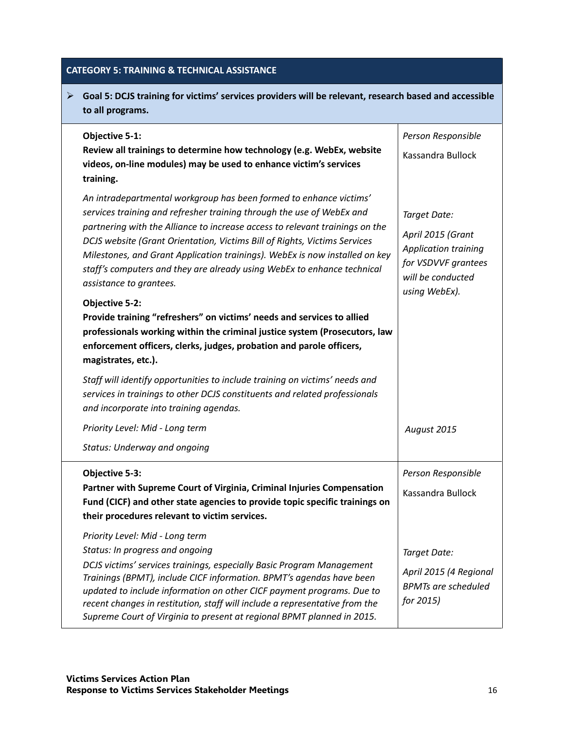## **CATEGORY 5: TRAINING & TECHNICAL ASSISTANCE**

| ➤ | Goal 5: DCJS training for victims' services providers will be relevant, research based and accessible<br>to all programs.                                                                                                                                                                                                                                                                                                                                                                                                                                                                                                                                                                                                                              |                                                                                                                               |
|---|--------------------------------------------------------------------------------------------------------------------------------------------------------------------------------------------------------------------------------------------------------------------------------------------------------------------------------------------------------------------------------------------------------------------------------------------------------------------------------------------------------------------------------------------------------------------------------------------------------------------------------------------------------------------------------------------------------------------------------------------------------|-------------------------------------------------------------------------------------------------------------------------------|
|   | <b>Objective 5-1:</b><br>Review all trainings to determine how technology (e.g. WebEx, website<br>videos, on-line modules) may be used to enhance victim's services<br>training.                                                                                                                                                                                                                                                                                                                                                                                                                                                                                                                                                                       | Person Responsible<br>Kassandra Bullock                                                                                       |
|   | An intradepartmental workgroup has been formed to enhance victims'<br>services training and refresher training through the use of WebEx and<br>partnering with the Alliance to increase access to relevant trainings on the<br>DCJS website (Grant Orientation, Victims Bill of Rights, Victims Services<br>Milestones, and Grant Application trainings). WebEx is now installed on key<br>staff's computers and they are already using WebEx to enhance technical<br>assistance to grantees.<br><b>Objective 5-2:</b><br>Provide training "refreshers" on victims' needs and services to allied<br>professionals working within the criminal justice system (Prosecutors, law<br>enforcement officers, clerks, judges, probation and parole officers, | Target Date:<br>April 2015 (Grant<br><b>Application training</b><br>for VSDVVF grantees<br>will be conducted<br>using WebEx). |
|   | magistrates, etc.).<br>Staff will identify opportunities to include training on victims' needs and<br>services in trainings to other DCJS constituents and related professionals<br>and incorporate into training agendas.<br>Priority Level: Mid - Long term<br><b>Status: Underway and ongoing</b>                                                                                                                                                                                                                                                                                                                                                                                                                                                   | August 2015                                                                                                                   |
|   | Objective 5-3:<br>Partner with Supreme Court of Virginia, Criminal Injuries Compensation<br>Fund (CICF) and other state agencies to provide topic specific trainings on<br>their procedures relevant to victim services.                                                                                                                                                                                                                                                                                                                                                                                                                                                                                                                               | Person Responsible<br>Kassandra Bullock                                                                                       |
|   | Priority Level: Mid - Long term<br>Status: In progress and ongoing<br>DCJS victims' services trainings, especially Basic Program Management<br>Trainings (BPMT), include CICF information. BPMT's agendas have been<br>updated to include information on other CICF payment programs. Due to<br>recent changes in restitution, staff will include a representative from the<br>Supreme Court of Virginia to present at regional BPMT planned in 2015.                                                                                                                                                                                                                                                                                                  | Target Date:<br>April 2015 (4 Regional<br><b>BPMTs are scheduled</b><br>for 2015)                                             |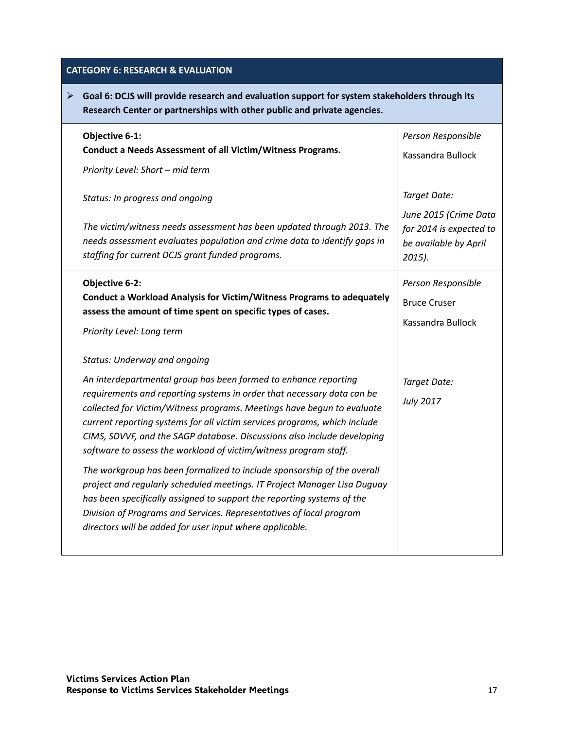# **CATEGORY 6: RESEARCH & EVALUATION**

| $\triangleright$ Goal 6: DCJS will provide research and evaluation support for system stakeholders through its |                                                                         |
|----------------------------------------------------------------------------------------------------------------|-------------------------------------------------------------------------|
|                                                                                                                | Research Center or partnerships with other public and private agencies. |

| Objective 6-1:                                                                                                                                                                                                                                                                                                                                                                                                                                  | Person Responsible                                                                     |
|-------------------------------------------------------------------------------------------------------------------------------------------------------------------------------------------------------------------------------------------------------------------------------------------------------------------------------------------------------------------------------------------------------------------------------------------------|----------------------------------------------------------------------------------------|
| Conduct a Needs Assessment of all Victim/Witness Programs.                                                                                                                                                                                                                                                                                                                                                                                      | Kassandra Bullock                                                                      |
| Priority Level: Short - mid term                                                                                                                                                                                                                                                                                                                                                                                                                |                                                                                        |
| Status: In progress and ongoing                                                                                                                                                                                                                                                                                                                                                                                                                 | Target Date:                                                                           |
| The victim/witness needs assessment has been updated through 2013. The<br>needs assessment evaluates population and crime data to identify gaps in<br>staffing for current DCJS grant funded programs.                                                                                                                                                                                                                                          | June 2015 (Crime Data<br>for 2014 is expected to<br>be available by April<br>$2015$ ). |
| Objective 6-2:<br>Conduct a Workload Analysis for Victim/Witness Programs to adequately<br>assess the amount of time spent on specific types of cases.<br>Priority Level: Long term                                                                                                                                                                                                                                                             | Person Responsible<br><b>Bruce Cruser</b><br>Kassandra Bullock                         |
| <b>Status: Underway and ongoing</b>                                                                                                                                                                                                                                                                                                                                                                                                             |                                                                                        |
| An interdepartmental group has been formed to enhance reporting<br>requirements and reporting systems in order that necessary data can be<br>collected for Victim/Witness programs. Meetings have begun to evaluate<br>current reporting systems for all victim services programs, which include<br>CIMS, SDVVF, and the SAGP database. Discussions also include developing<br>software to assess the workload of victim/witness program staff. | Target Date:<br><b>July 2017</b>                                                       |
| The workgroup has been formalized to include sponsorship of the overall<br>project and regularly scheduled meetings. IT Project Manager Lisa Duguay<br>has been specifically assigned to support the reporting systems of the<br>Division of Programs and Services. Representatives of local program<br>directors will be added for user input where applicable.                                                                                |                                                                                        |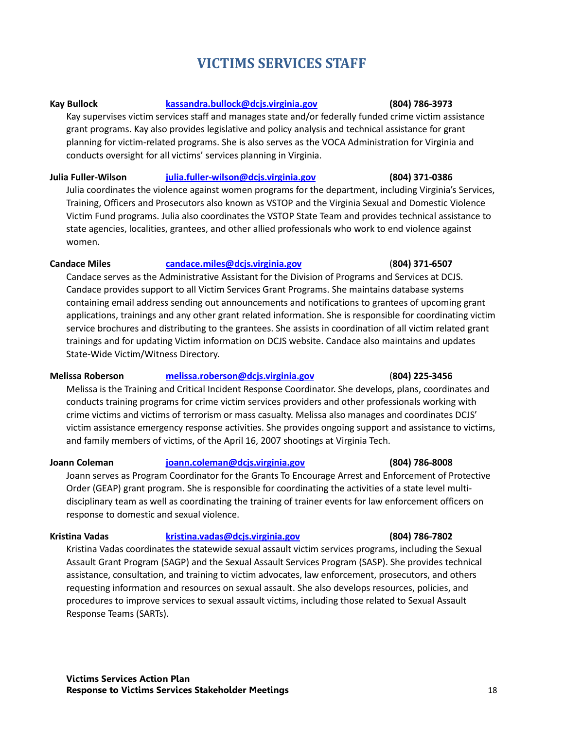# **VICTIMS SERVICES STAFF**

#### **Kay Bullock [kassandra.bullock@dcjs.virginia.gov](mailto:kassandra.bullock@dcjs.virginia.gov) (804) 786-3973**

Kay supervises victim services staff and manages state and/or federally funded crime victim assistance grant programs. Kay also provides legislative and policy analysis and technical assistance for grant planning for victim-related programs. She is also serves as the VOCA Administration for Virginia and conducts oversight for all victims' services planning in Virginia.

#### **Julia Fuller-Wilson [julia.fuller-wilson@dcjs.virginia.gov](mailto:julia.fuller-wilson@dcjs.virginia.gov) (804) 371-0386**

Julia coordinates the violence against women programs for the department, including Virginia's Services, Training, Officers and Prosecutors also known as VSTOP and the Virginia Sexual and Domestic Violence Victim Fund programs. Julia also coordinates the VSTOP State Team and provides technical assistance to state agencies, localities, grantees, and other allied professionals who work to end violence against women.

#### **Candace Miles [candace.miles@dcjs.virginia.gov](mailto:candace.miles@dcjs.virginia.gov)** (**804) 371-6507**

Candace serves as the Administrative Assistant for the Division of Programs and Services at DCJS. Candace provides support to all Victim Services Grant Programs. She maintains database systems containing email address sending out announcements and notifications to grantees of upcoming grant applications, trainings and any other grant related information. She is responsible for coordinating victim service brochures and distributing to the grantees. She assists in coordination of all victim related grant trainings and for updating Victim information on DCJS website. Candace also maintains and updates State-Wide Victim/Witness Directory.

#### **Melissa Roberson [melissa.roberson@dcjs.virginia.gov](mailto:melissa.roberson@dcjs.virginia.gov)** (**804) 225-3456**

Melissa is the Training and Critical Incident Response Coordinator. She develops, plans, coordinates and conducts training programs for crime victim services providers and other professionals working with crime victims and victims of terrorism or mass casualty. Melissa also manages and coordinates DCJS' victim assistance emergency response activities. She provides ongoing support and assistance to victims, and family members of victims, of the April 16, 2007 shootings at Virginia Tech.

#### **Joann Coleman [joann.coleman@dcjs.virginia.gov](mailto:joann.coleman@dcjs.virginia.gov) (804) 786-8008**

Joann serves as Program Coordinator for the Grants To Encourage Arrest and Enforcement of Protective Order (GEAP) grant program. She is responsible for coordinating the activities of a state level multidisciplinary team as well as coordinating the training of trainer events for law enforcement officers on response to domestic and sexual violence.

**Kristina Vadas [kristina.vadas@dcjs.virginia.gov](mailto:kristina.vadas@dcjs.virginia.gov) (804) 786-7802**

Kristina Vadas coordinates the statewide sexual assault victim services programs, including the Sexual Assault Grant Program (SAGP) and the Sexual Assault Services Program (SASP). She provides technical assistance, consultation, and training to victim advocates, law enforcement, prosecutors, and others requesting information and resources on sexual assault. She also develops resources, policies, and procedures to improve services to sexual assault victims, including those related to Sexual Assault Response Teams (SARTs).